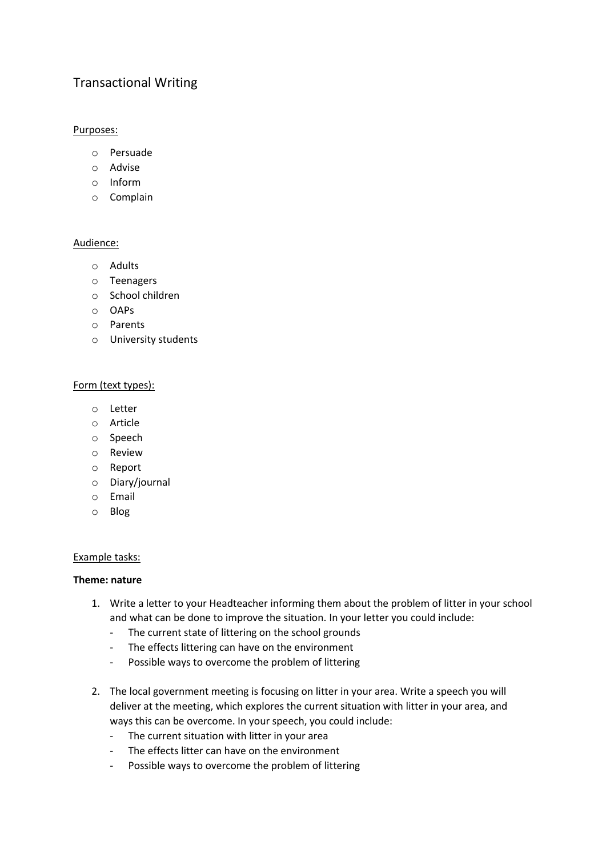# Transactional Writing

# Purposes:

- o Persuade
- o Advise
- o Inform
- o Complain

## Audience:

- o Adults
- o Teenagers
- o School children
- o OAPs
- o Parents
- o University students

## Form (text types):

- o Letter
- o Article
- o Speech
- o Review
- o Report
- o Diary/journal
- o Email
- o Blog

## Example tasks:

## **Theme: nature**

- 1. Write a letter to your Headteacher informing them about the problem of litter in your school and what can be done to improve the situation. In your letter you could include:
	- The current state of littering on the school grounds
	- The effects littering can have on the environment
	- Possible ways to overcome the problem of littering
- 2. The local government meeting is focusing on litter in your area. Write a speech you will deliver at the meeting, which explores the current situation with litter in your area, and ways this can be overcome. In your speech, you could include:
	- The current situation with litter in your area
	- The effects litter can have on the environment
	- Possible ways to overcome the problem of littering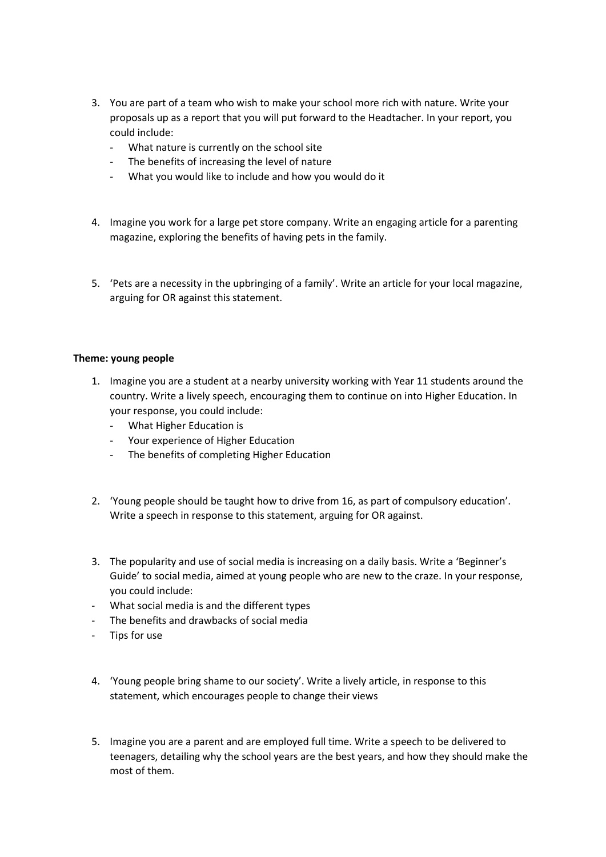- 3. You are part of a team who wish to make your school more rich with nature. Write your proposals up as a report that you will put forward to the Headtacher. In your report, you could include:
	- What nature is currently on the school site
	- The benefits of increasing the level of nature
	- What you would like to include and how you would do it
- 4. Imagine you work for a large pet store company. Write an engaging article for a parenting magazine, exploring the benefits of having pets in the family.
- 5. 'Pets are a necessity in the upbringing of a family'. Write an article for your local magazine, arguing for OR against this statement.

#### **Theme: young people**

- 1. Imagine you are a student at a nearby university working with Year 11 students around the country. Write a lively speech, encouraging them to continue on into Higher Education. In your response, you could include:
	- What Higher Education is
	- Your experience of Higher Education
	- The benefits of completing Higher Education
- 2. 'Young people should be taught how to drive from 16, as part of compulsory education'. Write a speech in response to this statement, arguing for OR against.
- 3. The popularity and use of social media is increasing on a daily basis. Write a 'Beginner's Guide' to social media, aimed at young people who are new to the craze. In your response, you could include:
- What social media is and the different types
- The benefits and drawbacks of social media
- Tips for use
- 4. 'Young people bring shame to our society'. Write a lively article, in response to this statement, which encourages people to change their views
- 5. Imagine you are a parent and are employed full time. Write a speech to be delivered to teenagers, detailing why the school years are the best years, and how they should make the most of them.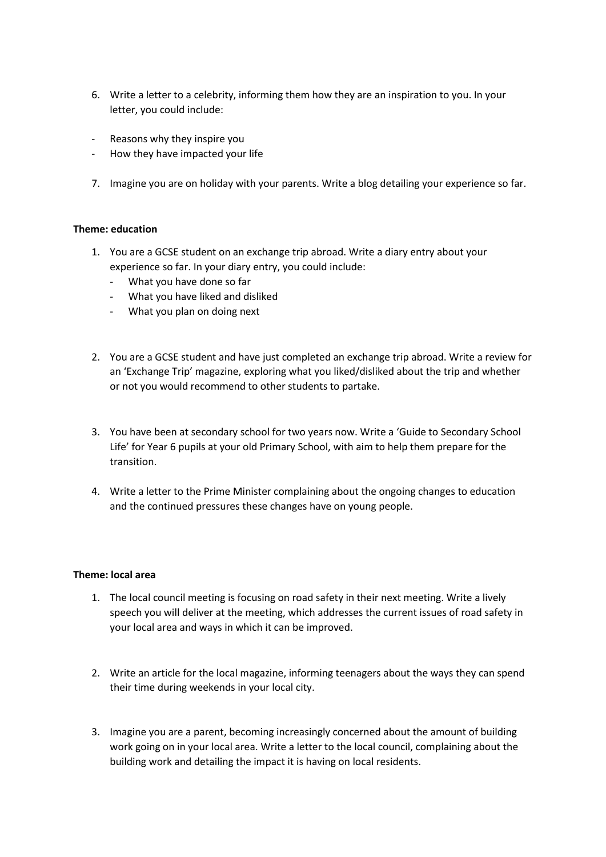- 6. Write a letter to a celebrity, informing them how they are an inspiration to you. In your letter, you could include:
- Reasons why they inspire you
- How they have impacted your life
- 7. Imagine you are on holiday with your parents. Write a blog detailing your experience so far.

## **Theme: education**

- 1. You are a GCSE student on an exchange trip abroad. Write a diary entry about your experience so far. In your diary entry, you could include:
	- What you have done so far
	- What you have liked and disliked
	- What you plan on doing next
- 2. You are a GCSE student and have just completed an exchange trip abroad. Write a review for an 'Exchange Trip' magazine, exploring what you liked/disliked about the trip and whether or not you would recommend to other students to partake.
- 3. You have been at secondary school for two years now. Write a 'Guide to Secondary School Life' for Year 6 pupils at your old Primary School, with aim to help them prepare for the transition.
- 4. Write a letter to the Prime Minister complaining about the ongoing changes to education and the continued pressures these changes have on young people.

#### **Theme: local area**

- 1. The local council meeting is focusing on road safety in their next meeting. Write a lively speech you will deliver at the meeting, which addresses the current issues of road safety in your local area and ways in which it can be improved.
- 2. Write an article for the local magazine, informing teenagers about the ways they can spend their time during weekends in your local city.
- 3. Imagine you are a parent, becoming increasingly concerned about the amount of building work going on in your local area. Write a letter to the local council, complaining about the building work and detailing the impact it is having on local residents.